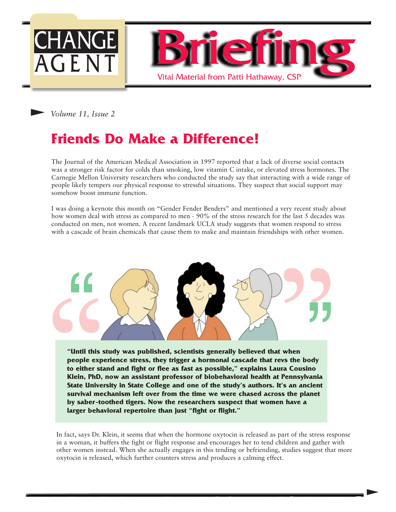

*Volume 11, Issue 2* 

# **Friends Do Make a Difference!**

The Journal of the American Medical Association in 1997 reported that a lack of diverse social contacts was a stronger risk factor for colds than smoking, low vitamin C intake, or elevated stress hormones. The Carnegie Mellon University researchers who conducted the study say that interacting with a wide range of people likely tempers our physical response to stressful situations. They suspect that social support may somehow boost immune function.

I was doing a keynote this month on "Gender Fender Benders" and mentioned a very recent study about how women deal with stress as compared to men - 90% of the stress research for the last 5 decades was conducted on men, not women. A recent landmark UCLA study suggests that women respond to stress with a cascade of brain chemicals that cause them to make and maintain friendships with other women.



In fact, says Dr. Klein, it seems that when the hormone oxytocin is released as part of the stress response in a woman, it buffers the fight or flight response and encourages her to tend children and gather with other women instead. When she actually engages in this tending or befriending, studies suggest that more oxytocin is released, which further counters stress and produces a calming effect.

 $\blacktriangleright$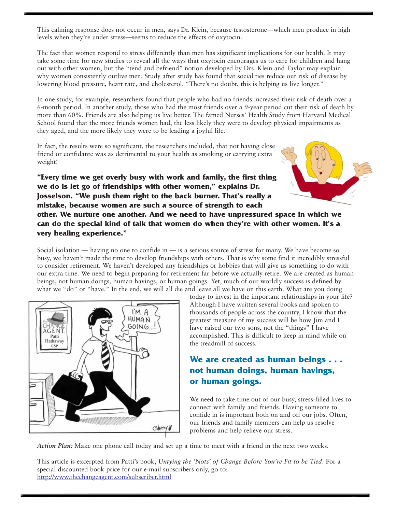This calming response does not occur in men, says Dr. Klein, because testosterone—which men produce in high levels when they're under stress—seems to reduce the effects of oxytocin.

The fact that women respond to stress differently than men has significant implications for our health. It may take some time for new studies to reveal all the ways that oxytocin encourages us to care for children and hang out with other women, but the "tend and befriend" notion developed by Drs. Klein and Taylor may explain why women consistently outlive men. Study after study has found that social ties reduce our risk of disease by lowering blood pressure, heart rate, and cholesterol. "There's no doubt, this is helping us live longer."

In one study, for example, researchers found that people who had no friends increased their risk of death over a 6-month period. In another study, those who had the most friends over a 9-year period cut their risk of death by more than 60%. Friends are also helping us live better. The famed Nurses' Health Study from Harvard Medical School found that the more friends women had, the less likely they were to develop physical impairments as they aged, and the more likely they were to be leading a joyful life.

In fact, the results were so significant, the researchers included, that not having close friend or confidante was as detrimental to your health as smoking or carrying extra weight!

**"Every time we get overly busy with work and family, the first thing we do is let go of friendships with other women," explains Dr. Josselson. "We push them right to the back burner. That's really a mistake, because women are such a source of strength to each**



**other. We nurture one another. And we need to have unpressured space in which we can do the special kind of talk that women do when they're with other women. It's a very healing experience."**

Social isolation — having no one to confide in — is a serious source of stress for many. We have become so busy, we haven't made the time to develop friendships with others. That is why some find it incredibly stressful to consider retirement. We haven't developed any friendships or hobbies that will give us something to do with our extra time. We need to begin preparing for retirement far before we actually retire. We are created as human beings, not human doings, human havings, or human goings. Yet, much of our worldly success is defined by what we "do" or "have." In the end, we will all die and leave all we have on this earth. What are you doing



today to invest in the important relationships in your life? Although I have written several books and spoken to thousands of people across the country, I know that the greatest measure of my success will be how Jim and I have raised our two sons, not the "things" I have accomplished. This is difficult to keep in mind while on the treadmill of success.

### **We are created as human beings . . . not human doings, human havings, or human goings.**

We need to take time out of our busy, stress-filled lives to connect with family and friends. Having someone to confide in is important both on and off our jobs. Often, our friends and family members can help us resolve problems and help relieve our stress.

*Action Plan:* Make one phone call today and set up a time to meet with a friend in the next two weeks.

This article is excerpted from Patti's book, *Untying the 'Nots' of Change Before You're Fit to be Tied*. For a special discounted book price for our e-mail subscribers only, go to: http://www.thechangeagent.com/subscriber.html